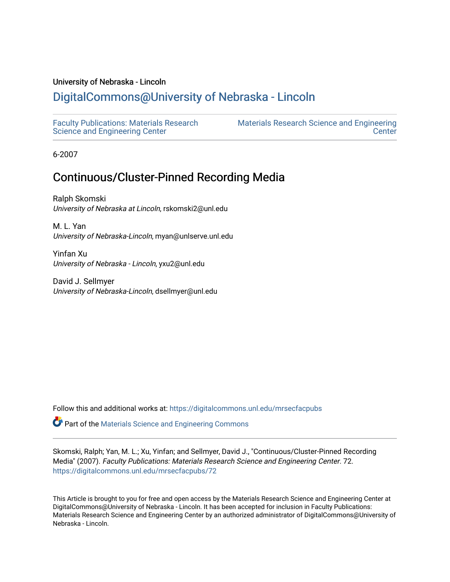## University of Nebraska - Lincoln

## [DigitalCommons@University of Nebraska - Lincoln](https://digitalcommons.unl.edu/)

[Faculty Publications: Materials Research](https://digitalcommons.unl.edu/mrsecfacpubs)  [Science and Engineering Center](https://digitalcommons.unl.edu/mrsecfacpubs) 

[Materials Research Science and Engineering](https://digitalcommons.unl.edu/materialsresearchscieeng)  **Center** 

6-2007

# Continuous/Cluster-Pinned Recording Media

Ralph Skomski University of Nebraska at Lincoln, rskomski2@unl.edu

M. L. Yan University of Nebraska-Lincoln, myan@unlserve.unl.edu

Yinfan Xu University of Nebraska - Lincoln, yxu2@unl.edu

David J. Sellmyer University of Nebraska-Lincoln, dsellmyer@unl.edu

Follow this and additional works at: [https://digitalcommons.unl.edu/mrsecfacpubs](https://digitalcommons.unl.edu/mrsecfacpubs?utm_source=digitalcommons.unl.edu%2Fmrsecfacpubs%2F72&utm_medium=PDF&utm_campaign=PDFCoverPages) 

Part of the [Materials Science and Engineering Commons](http://network.bepress.com/hgg/discipline/285?utm_source=digitalcommons.unl.edu%2Fmrsecfacpubs%2F72&utm_medium=PDF&utm_campaign=PDFCoverPages) 

Skomski, Ralph; Yan, M. L.; Xu, Yinfan; and Sellmyer, David J., "Continuous/Cluster-Pinned Recording Media" (2007). Faculty Publications: Materials Research Science and Engineering Center. 72. [https://digitalcommons.unl.edu/mrsecfacpubs/72](https://digitalcommons.unl.edu/mrsecfacpubs/72?utm_source=digitalcommons.unl.edu%2Fmrsecfacpubs%2F72&utm_medium=PDF&utm_campaign=PDFCoverPages) 

This Article is brought to you for free and open access by the Materials Research Science and Engineering Center at DigitalCommons@University of Nebraska - Lincoln. It has been accepted for inclusion in Faculty Publications: Materials Research Science and Engineering Center by an authorized administrator of DigitalCommons@University of Nebraska - Lincoln.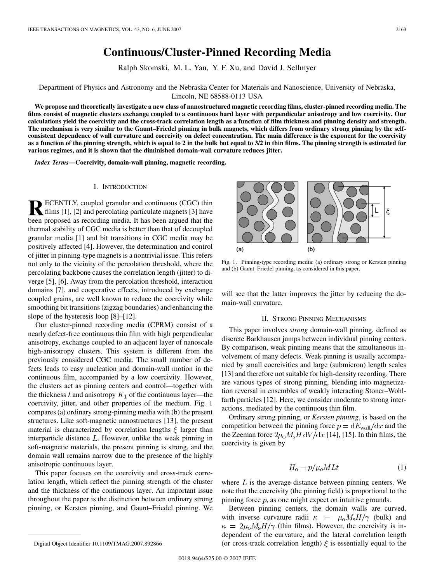## **Continuous/Cluster-Pinned Recording Media**

Ralph Skomski, M. L. Yan, Y. F. Xu, and David J. Sellmyer

## Department of Physics and Astronomy and the Nebraska Center for Materials and Nanoscience, University of Nebraska, Lincoln, NE 68588-0113 USA

**We propose and theoretically investigate a new class of nanostructured magnetic recording films, cluster-pinned recording media. The films consist of magnetic clusters exchange coupled to a continuous hard layer with perpendicular anisotropy and low coercivity. Our calculations yield the coercivity and the cross-track correlation length as a function of film thickness and pinning density and strength. The mechanism is very similar to the Gaunt–Friedel pinning in bulk magnets, which differs from ordinary strong pinning by the selfconsistent dependence of wall curvature and coercivity on defect concentration. The main difference is the exponent for the coercivity as a function of the pinning strength, which is equal to 2 in the bulk but equal to 3/2 in thin films. The pinning strength is estimated for various regimes, and it is shown that the diminished domain-wall curvature reduces jitter.**

*Index Terms—***Coercivity, domain-wall pinning, magnetic recording.**

### I. INTRODUCTION

**RECENTLY**, coupled granular and continuous (CGC) thin films [1], [2] and percolating particulate magnets [3] have been proposed as recording media. It has been argued that the thermal stability of CGC media is better than that of decoupled granular media [1] and bit transitions in CGC media may be positively affected [4]. However, the determination and control of jitter in pinning-type magnets is a nontrivial issue. This refers not only to the vicinity of the percolation threshold, where the percolating backbone causes the correlation length (jitter) to diverge [5], [6]. Away from the percolation threshold, interaction domains [7], and cooperative effects, introduced by exchange coupled grains, are well known to reduce the coercivity while smoothing bit transitions (zigzag boundaries) and enhancing the slope of the hysteresis loop [8]–[12].

Our cluster-pinned recording media (CPRM) consist of a nearly defect-free continuous thin film with high perpendicular anisotropy, exchange coupled to an adjacent layer of nanoscale high-anisotropy clusters. This system is different from the previously considered CGC media. The small number of defects leads to easy nucleation and domain-wall motion in the continuous film, accompanied by a low coercivity. However, the clusters act as pinning centers and control—together with the thickness  $t$  and anisotropy  $K_1$  of the continuous layer—the coercivity, jitter, and other properties of the medium. Fig. 1 compares (a) ordinary strong-pinning media with (b) the present structures. Like soft-magnetic nanostructures [13], the present material is characterized by correlation lengths  $\xi$  larger than interparticle distance  $L$ . However, unlike the weak pinning in soft-magnetic materials, the present pinning is strong, and the domain wall remains narrow due to the presence of the highly anisotropic continuous layer.

This paper focuses on the coercivity and cross-track correlation length, which reflect the pinning strength of the cluster and the thickness of the continuous layer. An important issue throughout the paper is the distinction between ordinary strong pinning, or Kersten pinning, and Gaunt–Friedel pinning. We



Fig. 1. Pinning-type recording media: (a) ordinary strong or Kersten pinning and (b) Gaunt–Friedel pinning, as considered in this paper.

will see that the latter improves the jitter by reducing the domain-wall curvature.

## II. STRONG PINNING MECHANISMS

This paper involves *strong* domain-wall pinning, defined as discrete Barkhausen jumps between individual pinning centers. By comparison, weak pinning means that the simultaneous involvement of many defects. Weak pinning is usually accompanied by small coercivities and large (submicron) length scales [13] and therefore not suitable for high-density recording. There are various types of strong pinning, blending into magnetization reversal in ensembles of weakly interacting Stoner–Wohlfarth particles [12]. Here, we consider moderate to strong interactions, mediated by the continuous thin film.

Ordinary strong pinning, or *Kersten pinning*, is based on the competition between the pinning force  $p = dE_{\text{wall}}/dx$  and the the Zeeman force  $2\mu_0 M_s H dV/dx$  [14], [15]. In thin films, the coercivity is given by

$$
H_o = p/\mu_o MLt \tag{1}
$$

where  $L$  is the average distance between pinning centers. We note that the coercivity (the pinning field) is proportional to the pinning force  $p$ , as one might expect on intuitive grounds.

Between pinning centers, the domain walls are curved, with inverse curvature radii  $\kappa = \mu_0 M_s H / \gamma$  (bulk) and  $\kappa = 2\mu_0 M_s H/\gamma$  (thin films). However, the coercivity is independent of the curvature, and the lateral correlation length (or cross-track correlation length)  $\xi$  is essentially equal to the

Digital Object Identifier 10.1109/TMAG.2007.892866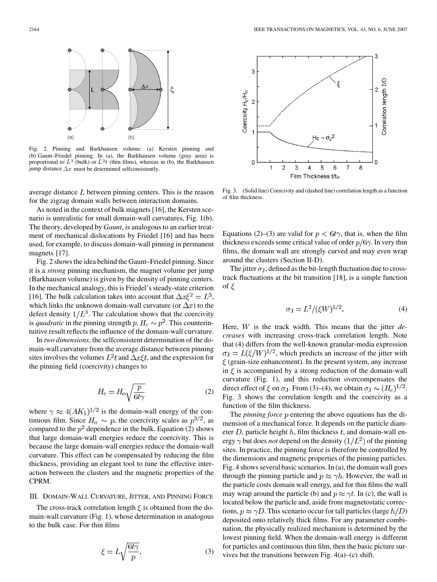

Fig. 2. Pinning and Barkhausen volume: (a) Kersten pinning and (b) Gaunt–Friedel pinning. In (a), the Barkhausen volume (gray area) is proportional to  $L^3$  (bulk) or  $L^2t$  (thin films), whereas in (b), the Barkhausen jump distance  $\Delta x$  must be determined selfconsistently.

average distance  $L$  between pinning centers. This is the reason for the zigzag domain walls between interaction domains.

As noted in the context of bulk magnets [16], the Kersten scenario is unrealistic for small domain-wall curvatures, Fig. 1(b). The theory, developed by *Gaunt*, is analogous to an earlier treatment of mechanical dislocations by Friedel [16] and has been used, for example, to discuss domain-wall pinning in permanent magnets [17].

Fig. 2 shows the idea behind the Gaunt–Friedel pinning. Since it is a *strong* pinning mechanism, the magnet volume per jump (Barkhausen volume) is given by the density of pinning centers. In the mechanical analogy, this is Friedel's steady-state criterion [16]. The bulk calculation takes into account that  $\Delta x \xi^2 = L^3$ , which links the unknown domain-wall curvature (or  $\Delta x$ ) to the defect density  $1/L^3$ . The calculation shows that the coercivity is *quadratic* in the pinning strength  $p, H_c \sim p^2$ . This counterintuitive result reflects the influence of the domain-wall curvature.

In *two dimensions*, the selfconsistent determination of the domain-wall curvature from the average distance between pinning sites involves the volumes  $L^2t$  and  $\Delta x \xi t$ , and the expression for the pinning field (coercivity) changes to

$$
H_{\rm c} = H_{\rm o} \sqrt{\frac{p}{6t\gamma}}
$$
 (2)

where  $\gamma \approx 4 (AK_1)^{1/2}$  is the domain-wall energy of the continuous film. Since  $H_o \sim p$ , the coercivity scales as  $p^{3/2}$ , as compared to the  $p^2$  dependence in the bulk. Equation (2) shows that large domain-wall energies reduce the coercivity. This is because the large domain-wall energies reduce the domain-wall curvature. This effect can be compensated by reducing the film thickness, providing an elegant tool to tune the effective interaction between the clusters and the magnetic properties of the CPRM.

## III. DOMAIN-WALL CURVATURE, JITTER, AND PINNING FORCE

The cross-track correlation length  $\xi$  is obtained from the domain-wall curvature (Fig. 1), whose determination in analogous to the bulk case. For thin films

$$
\xi = L \sqrt{\frac{6t\gamma}{p}}.\tag{3}
$$



Fig. 3. (Solid line) Coercivity and (dashed line) correlation length as a function of film thickness.

Equations (2)–(3) are valid for  $p < 6t\gamma$ , that is, when the film thickness exceeds some critical value of order  $p/6\gamma$ . In very thin films, the domain wall are strongly curved and may even wrap around the clusters (Section II-D).

The jitter  $\sigma_J$ , defined as the bit-length fluctuation due to crosstrack fluctuations at the bit transition [18], is a simple function of  $\xi$ 

$$
\sigma_{\rm J} = L^2 / (\xi W)^{1/2}.
$$
 (4)

Here, W is the track width. This means that the jitter *decreases* with increasing cross-track correlation length. Note that (4) differs from the well-known granular-media expression  $\sigma_J = L(\xi/W)^{1/2}$ , which predicts an increase of the jitter with  $\xi$  (grain-size enhancement). In the present system, any increase in  $\xi$  is accompanied by a strong reduction of the domain-wall curvature (Fig. 1), and this reduction overcompensates the direct effect of  $\xi$  on  $\sigma_J$ . From (3)–(4), we obtain  $\sigma_J \sim (H_c)^{1/2}$ . Fig. 3 shows the correlation length and the coercivity as a function of the film thickness.

The *pinning force p* entering the above equations has the dimension of a mechanical force. It depends on the particle diameter  $D$ , particle height  $h$ , film thickness  $t$ , and domain-wall energy  $\gamma$  but does *not* depend on the density  $(1/L^2)$  of the pinning sites. In practice, the pinning force is therefore be controlled by the dimensions and magnetic properties of the pinning particles. Fig. 4 shows several basic scenarios. In (a), the domain wall goes through the pinning particle and  $p \approx \gamma h$ . However, the wall in the particle costs domain wall energy, and for thin films the wall may wrap around the particle (b) and  $p \approx \gamma t$ . In (c), the wall is located below the particle and, aside from magnetostatic corrections,  $p \approx \gamma D$ . This scenario occur for tall particles (large  $h/D$ ) deposited onto relatively thick films. For any parameter combination, the physically realized mechanism is determined by the lowest pinning field. When the domain-wall energy is different for particles and continuous thin film, then the basic picture survives but the transitions between Fig.  $4(a)$ –(c) shift.